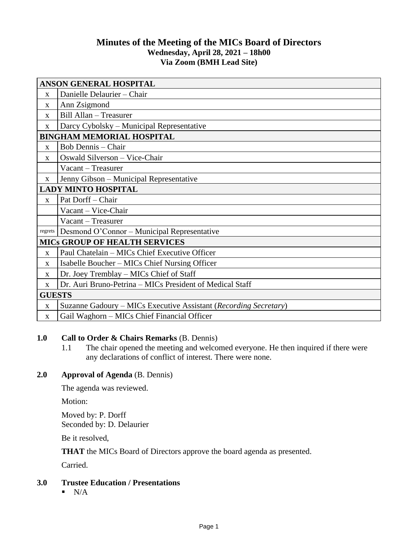# **Minutes of the Meeting of the MICs Board of Directors Wednesday, April 28, 2021 – 18h00 Via Zoom (BMH Lead Site)**

| <b>ANSON GENERAL HOSPITAL</b>        |                                                                  |
|--------------------------------------|------------------------------------------------------------------|
| $\mathbf{X}$                         | Danielle Delaurier - Chair                                       |
| $\mathbf{x}$                         | Ann Zsigmond                                                     |
| X                                    | Bill Allan - Treasurer                                           |
| X                                    | Darcy Cybolsky – Municipal Representative                        |
| <b>BINGHAM MEMORIAL HOSPITAL</b>     |                                                                  |
| $\mathbf{X}$                         | Bob Dennis – Chair                                               |
| X                                    | Oswald Silverson - Vice-Chair                                    |
|                                      | Vacant – Treasurer                                               |
| $\mathbf{X}$                         | Jenny Gibson – Municipal Representative                          |
| <b>LADY MINTO HOSPITAL</b>           |                                                                  |
| $\mathbf{X}$                         | Pat Dorff - Chair                                                |
|                                      | Vacant - Vice-Chair                                              |
|                                      | Vacant – Treasurer                                               |
| regrets                              | Desmond O'Connor – Municipal Representative                      |
| <b>MICS GROUP OF HEALTH SERVICES</b> |                                                                  |
| $\mathbf{X}$                         | Paul Chatelain - MICs Chief Executive Officer                    |
| $\mathbf{x}$                         | Isabelle Boucher – MICs Chief Nursing Officer                    |
| $\mathbf{X}$                         | Dr. Joey Tremblay – MICs Chief of Staff                          |
| X                                    | Dr. Auri Bruno-Petrina - MICs President of Medical Staff         |
| <b>GUESTS</b>                        |                                                                  |
| $\mathbf X$                          | Suzanne Gadoury – MICs Executive Assistant (Recording Secretary) |
| X                                    | Gail Waghorn – MICs Chief Financial Officer                      |

# **1.0 Call to Order & Chairs Remarks** (B. Dennis)

1.1 The chair opened the meeting and welcomed everyone. He then inquired if there were any declarations of conflict of interest. There were none.

# **2.0 Approval of Agenda** (B. Dennis)

The agenda was reviewed.

Motion:

Moved by: P. Dorff Seconded by: D. Delaurier

Be it resolved,

**THAT** the MICs Board of Directors approve the board agenda as presented.

Carried.

### **3.0 Trustee Education / Presentations**

 $N/A$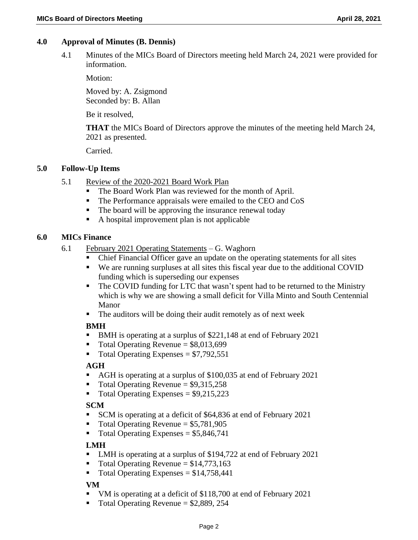## **4.0 Approval of Minutes (B. Dennis)**

4.1 Minutes of the MICs Board of Directors meeting held March 24, 2021 were provided for information.

Motion:

Moved by: A. Zsigmond Seconded by: B. Allan

Be it resolved,

**THAT** the MICs Board of Directors approve the minutes of the meeting held March 24, 2021 as presented.

Carried.

#### **5.0 Follow-Up Items**

- 5.1 Review of the 2020-2021 Board Work Plan
	- The Board Work Plan was reviewed for the month of April.
	- The Performance appraisals were emailed to the CEO and CoS
	- The board will be approving the insurance renewal today
	- A hospital improvement plan is not applicable

# **6.0 MICs Finance**

- 6.1 February 2021 Operating Statements G. Waghorn
	- Chief Financial Officer gave an update on the operating statements for all sites
	- We are running surpluses at all sites this fiscal year due to the additional COVID funding which is superseding our expenses
	- The COVID funding for LTC that wasn't spent had to be returned to the Ministry which is why we are showing a small deficit for Villa Minto and South Centennial Manor
	- The auditors will be doing their audit remotely as of next week

## **BMH**

- BMH is operating at a surplus of \$221,148 at end of February 2021
- $\blacksquare$  Total Operating Revenue = \$8,013,699
- $\blacksquare$  Total Operating Expenses = \$7,792,551

## **AGH**

- AGH is operating at a surplus of \$100,035 at end of February 2021
- $\blacksquare$  Total Operating Revenue = \$9,315,258
- $\blacksquare$  Total Operating Expenses = \$9,215,223

## **SCM**

- SCM is operating at a deficit of \$64,836 at end of February 2021
- $\blacksquare$  Total Operating Revenue = \$5,781,905
- $\blacksquare$  Total Operating Expenses = \$5,846,741

## **LMH**

- LMH is operating at a surplus of \$194,722 at end of February 2021
- $\blacksquare$  Total Operating Revenue = \$14,773,163
- Total Operating Expenses =  $$14,758,441$

#### **VM**

- VM is operating at a deficit of \$118,700 at end of February 2021
- $\blacksquare$  Total Operating Revenue = \$2,889, 254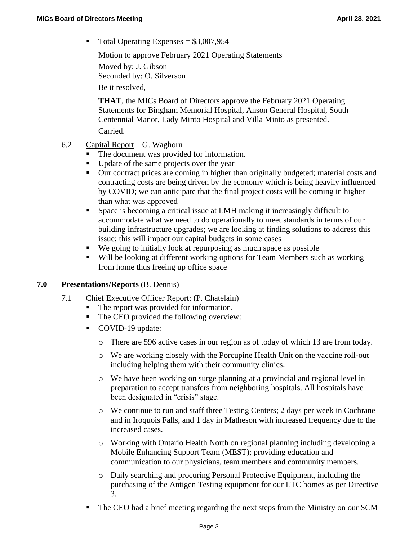$\blacksquare$  Total Operating Expenses = \$3,007,954

Motion to approve February 2021 Operating Statements

Moved by: J. Gibson Seconded by: O. Silverson Be it resolved,

**THAT**, the MICs Board of Directors approve the February 2021 Operating Statements for Bingham Memorial Hospital, Anson General Hospital, South Centennial Manor, Lady Minto Hospital and Villa Minto as presented. Carried.

- 6.2 Capital Report G. Waghorn
	- The document was provided for information.
	- Update of the same projects over the year
	- Our contract prices are coming in higher than originally budgeted; material costs and contracting costs are being driven by the economy which is being heavily influenced by COVID; we can anticipate that the final project costs will be coming in higher than what was approved
	- Space is becoming a critical issue at LMH making it increasingly difficult to accommodate what we need to do operationally to meet standards in terms of our building infrastructure upgrades; we are looking at finding solutions to address this issue; this will impact our capital budgets in some cases
	- We going to initially look at repurposing as much space as possible
	- Will be looking at different working options for Team Members such as working from home thus freeing up office space

## **7.0 Presentations/Reports** (B. Dennis)

- 7.1 Chief Executive Officer Report: (P. Chatelain)
	- The report was provided for information.
	- The CEO provided the following overview:
	- COVID-19 update:
		- o There are 596 active cases in our region as of today of which 13 are from today.
		- o We are working closely with the Porcupine Health Unit on the vaccine roll-out including helping them with their community clinics.
		- o We have been working on surge planning at a provincial and regional level in preparation to accept transfers from neighboring hospitals. All hospitals have been designated in "crisis" stage.
		- o We continue to run and staff three Testing Centers; 2 days per week in Cochrane and in Iroquois Falls, and 1 day in Matheson with increased frequency due to the increased cases.
		- o Working with Ontario Health North on regional planning including developing a Mobile Enhancing Support Team (MEST); providing education and communication to our physicians, team members and community members.
		- o Daily searching and procuring Personal Protective Equipment, including the purchasing of the Antigen Testing equipment for our LTC homes as per Directive 3.
	- The CEO had a brief meeting regarding the next steps from the Ministry on our SCM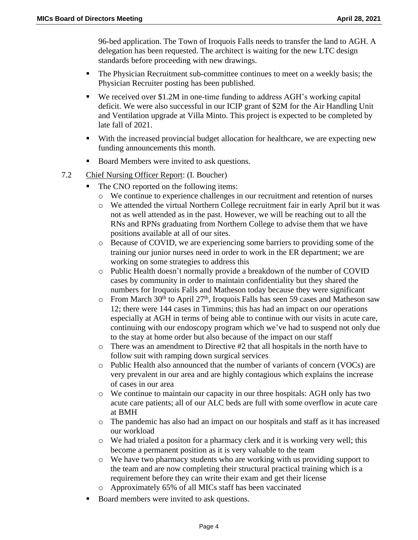96-bed application. The Town of Iroquois Falls needs to transfer the land to AGH. A delegation has been requested. The architect is waiting for the new LTC design standards before proceeding with new drawings.

- The Physician Recruitment sub-committee continues to meet on a weekly basis; the Physician Recruiter posting has been published.
- We received over \$1.2M in one-time funding to address AGH's working capital deficit. We were also successful in our ICIP grant of \$2M for the Air Handling Unit and Ventilation upgrade at Villa Minto. This project is expected to be completed by late fall of 2021.
- With the increased provincial budget allocation for healthcare, we are expecting new funding announcements this month.
- Board Members were invited to ask questions.
- 7.2 Chief Nursing Officer Report: (I. Boucher)
	- The CNO reported on the following items:
		- o We continue to experience challenges in our recruitment and retention of nurses
		- o We attended the virtual Northern College recruitment fair in early April but it was not as well attended as in the past. However, we will be reaching out to all the RNs and RPNs graduating from Northern College to advise them that we have positions available at all of our sites.
		- o Because of COVID, we are experiencing some barriers to providing some of the training our junior nurses need in order to work in the ER department; we are working on some strategies to address this
		- o Public Health doesn't normally provide a breakdown of the number of COVID cases by community in order to maintain confidentiality but they shared the numbers for Iroquois Falls and Matheson today because they were significant
		- $\circ$  From March 30<sup>th</sup> to April 27<sup>th</sup>, Iroquois Falls has seen 59 cases and Matheson saw 12; there were 144 cases in Timmins; this has had an impact on our operations especially at AGH in terms of being able to continue with our visits in acute care, continuing with our endoscopy program which we've had to suspend not only due to the stay at home order but also because of the impact on our staff
		- $\circ$  There was an amendment to Directive #2 that all hospitals in the north have to follow suit with ramping down surgical services
		- o Public Health also announced that the number of variants of concern (VOCs) are very prevalent in our area and are highly contagious which explains the increase of cases in our area
		- o We continue to maintain our capacity in our three hospitals: AGH only has two acute care patients; all of our ALC beds are full with some overflow in acute care at BMH
		- o The pandemic has also had an impact on our hospitals and staff as it has increased our workload
		- o We had trialed a positon for a pharmacy clerk and it is working very well; this become a permanent position as it is very valuable to the team
		- o We have two pharmacy students who are working with us providing support to the team and are now completing their structural practical training which is a requirement before they can write their exam and get their license
		- o Approximately 65% of all MICs staff has been vaccinated
	- Board members were invited to ask questions.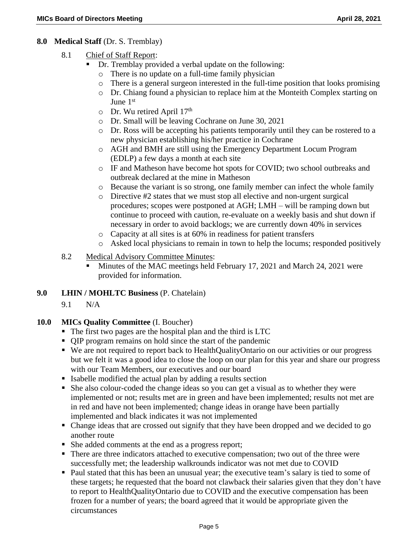### **8.0 Medical Staff** (Dr. S. Tremblay)

- 8.1 Chief of Staff Report:
	- Dr. Tremblay provided a verbal update on the following:
		- o There is no update on a full-time family physician
		- o There is a general surgeon interested in the full-time position that looks promising
		- o Dr. Chiang found a physician to replace him at the Monteith Complex starting on June 1<sup>st</sup>
		- o Dr. Wu retired April 17<sup>th</sup>
		- o Dr. Small will be leaving Cochrane on June 30, 2021
		- o Dr. Ross will be accepting his patients temporarily until they can be rostered to a new physician establishing his/her practice in Cochrane
		- o AGH and BMH are still using the Emergency Department Locum Program (EDLP) a few days a month at each site
		- o IF and Matheson have become hot spots for COVID; two school outbreaks and outbreak declared at the mine in Matheson
	- o Because the variant is so strong, one family member can infect the whole family
	- o Directive #2 states that we must stop all elective and non-urgent surgical procedures; scopes were postponed at AGH; LMH – will be ramping down but continue to proceed with caution, re-evaluate on a weekly basis and shut down if necessary in order to avoid backlogs; we are currently down 40% in services
	- o Capacity at all sites is at 60% in readiness for patient transfers
	- o Asked local physicians to remain in town to help the locums; responded positively
- 8.2 Medical Advisory Committee Minutes:
	- Minutes of the MAC meetings held February 17, 2021 and March 24, 2021 were provided for information.

#### **9.0 LHIN / MOHLTC Business** (P. Chatelain)

9.1 N/A

## **10.0 MICs Quality Committee** (I. Boucher)

- The first two pages are the hospital plan and the third is LTC
- QIP program remains on hold since the start of the pandemic
- We are not required to report back to HealthQualityOntario on our activities or our progress but we felt it was a good idea to close the loop on our plan for this year and share our progress with our Team Members, our executives and our board
- Isabelle modified the actual plan by adding a results section
- She also colour-coded the change ideas so you can get a visual as to whether they were implemented or not; results met are in green and have been implemented; results not met are in red and have not been implemented; change ideas in orange have been partially implemented and black indicates it was not implemented
- Change ideas that are crossed out signify that they have been dropped and we decided to go another route
- She added comments at the end as a progress report;
- There are three indicators attached to executive compensation; two out of the three were successfully met; the leadership walkrounds indicator was not met due to COVID
- Paul stated that this has been an unusual year; the executive team's salary is tied to some of these targets; he requested that the board not clawback their salaries given that they don't have to report to HealthQualityOntario due to COVID and the executive compensation has been frozen for a number of years; the board agreed that it would be appropriate given the circumstances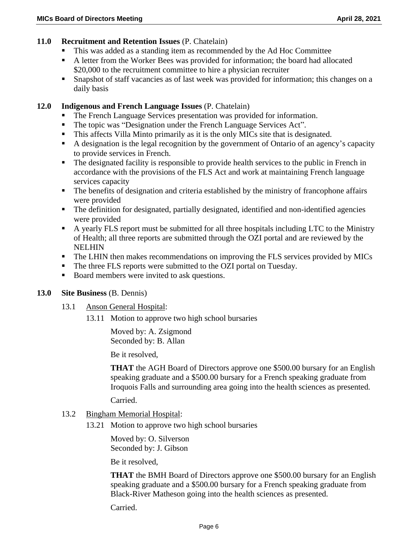### **11.0 Recruitment and Retention Issues** (P. Chatelain)

- This was added as a standing item as recommended by the Ad Hoc Committee
- A letter from the Worker Bees was provided for information; the board had allocated \$20,000 to the recruitment committee to hire a physician recruiter
- Snapshot of staff vacancies as of last week was provided for information; this changes on a daily basis

### **12.0 Indigenous and French Language Issues** (P. Chatelain)

- The French Language Services presentation was provided for information.
- The topic was "Designation under the French Language Services Act".
- This affects Villa Minto primarily as it is the only MICs site that is designated.
- A designation is the legal recognition by the government of Ontario of an agency's capacity to provide services in French.
- The designated facility is responsible to provide health services to the public in French in accordance with the provisions of the FLS Act and work at maintaining French language services capacity
- The benefits of designation and criteria established by the ministry of francophone affairs were provided
- The definition for designated, partially designated, identified and non-identified agencies were provided
- A yearly FLS report must be submitted for all three hospitals including LTC to the Ministry of Health; all three reports are submitted through the OZI portal and are reviewed by the NELHIN
- The LHIN then makes recommendations on improving the FLS services provided by MICs
- The three FLS reports were submitted to the OZI portal on Tuesday.
- Board members were invited to ask questions.

#### **13.0 Site Business** (B. Dennis)

- 13.1 Anson General Hospital:
	- 13.11 Motion to approve two high school bursaries

Moved by: A. Zsigmond Seconded by: B. Allan

Be it resolved,

**THAT** the AGH Board of Directors approve one \$500.00 bursary for an English speaking graduate and a \$500.00 bursary for a French speaking graduate from Iroquois Falls and surrounding area going into the health sciences as presented.

Carried.

#### 13.2 Bingham Memorial Hospital:

13.21 Motion to approve two high school bursaries

Moved by: O. Silverson Seconded by: J. Gibson

Be it resolved,

**THAT** the BMH Board of Directors approve one \$500.00 bursary for an English speaking graduate and a \$500.00 bursary for a French speaking graduate from Black-River Matheson going into the health sciences as presented.

Carried.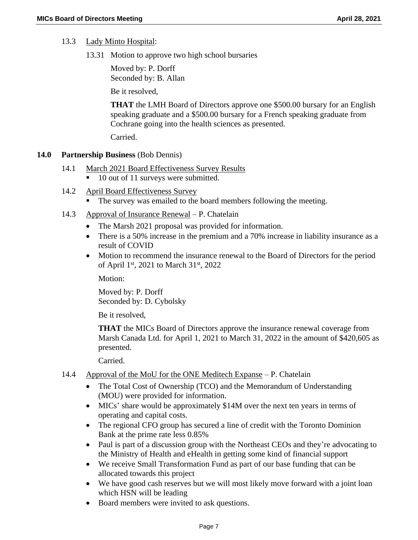- 13.3 Lady Minto Hospital:
	- 13.31 Motion to approve two high school bursaries

Moved by: P. Dorff Seconded by: B. Allan

Be it resolved,

**THAT** the LMH Board of Directors approve one \$500.00 bursary for an English speaking graduate and a \$500.00 bursary for a French speaking graduate from Cochrane going into the health sciences as presented.

Carried.

### **14.0 Partnership Business** (Bob Dennis)

- 14.1 March 2021 Board Effectiveness Survey Results ■ 10 out of 11 surveys were submitted.
- 14.2 April Board Effectiveness Survey
	- The survey was emailed to the board members following the meeting.
- 14.3 Approval of Insurance Renewal P. Chatelain
	- The Marsh 2021 proposal was provided for information.
	- There is a 50% increase in the premium and a 70% increase in liability insurance as a result of COVID
	- Motion to recommend the insurance renewal to the Board of Directors for the period of April 1<sup>st</sup>, 2021 to March 31<sup>st</sup>, 2022

Motion:

Moved by: P. Dorff Seconded by: D. Cybolsky

Be it resolved,

**THAT** the MICs Board of Directors approve the insurance renewal coverage from Marsh Canada Ltd. for April 1, 2021 to March 31, 2022 in the amount of \$420,605 as presented.

Carried.

- 14.4 Approval of the MoU for the ONE Meditech Expanse P. Chatelain
	- The Total Cost of Ownership (TCO) and the Memorandum of Understanding (MOU) were provided for information.
	- MICs' share would be approximately \$14M over the next ten years in terms of operating and capital costs.
	- The regional CFO group has secured a line of credit with the Toronto Dominion Bank at the prime rate less 0.85%
	- Paul is part of a discussion group with the Northeast CEOs and they're advocating to the Ministry of Health and eHealth in getting some kind of financial support
	- We receive Small Transformation Fund as part of our base funding that can be allocated towards this project
	- We have good cash reserves but we will most likely move forward with a joint loan which HSN will be leading
	- Board members were invited to ask questions.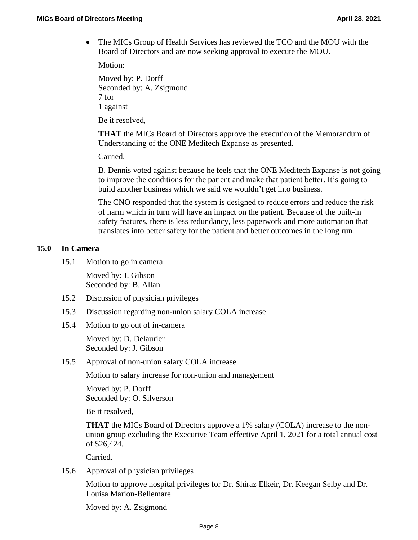• The MICs Group of Health Services has reviewed the TCO and the MOU with the Board of Directors and are now seeking approval to execute the MOU.

Motion:

Moved by: P. Dorff Seconded by: A. Zsigmond 7 for 1 against

Be it resolved,

**THAT** the MICs Board of Directors approve the execution of the Memorandum of Understanding of the ONE Meditech Expanse as presented.

Carried.

B. Dennis voted against because he feels that the ONE Meditech Expanse is not going to improve the conditions for the patient and make that patient better. It's going to build another business which we said we wouldn't get into business.

The CNO responded that the system is designed to reduce errors and reduce the risk of harm which in turn will have an impact on the patient. Because of the built-in safety features, there is less redundancy, less paperwork and more automation that translates into better safety for the patient and better outcomes in the long run.

#### **15.0 In Camera**

15.1 Motion to go in camera

Moved by: J. Gibson Seconded by: B. Allan

- 15.2 Discussion of physician privileges
- 15.3 Discussion regarding non-union salary COLA increase
- 15.4 Motion to go out of in-camera

Moved by: D. Delaurier Seconded by: J. Gibson

15.5 Approval of non-union salary COLA increase

Motion to salary increase for non-union and management

Moved by: P. Dorff Seconded by: O. Silverson

Be it resolved,

**THAT** the MICs Board of Directors approve a 1% salary (COLA) increase to the nonunion group excluding the Executive Team effective April 1, 2021 for a total annual cost of \$26,424.

Carried.

15.6 Approval of physician privileges

Motion to approve hospital privileges for Dr. Shiraz Elkeir, Dr. Keegan Selby and Dr. Louisa Marion-Bellemare

Moved by: A. Zsigmond